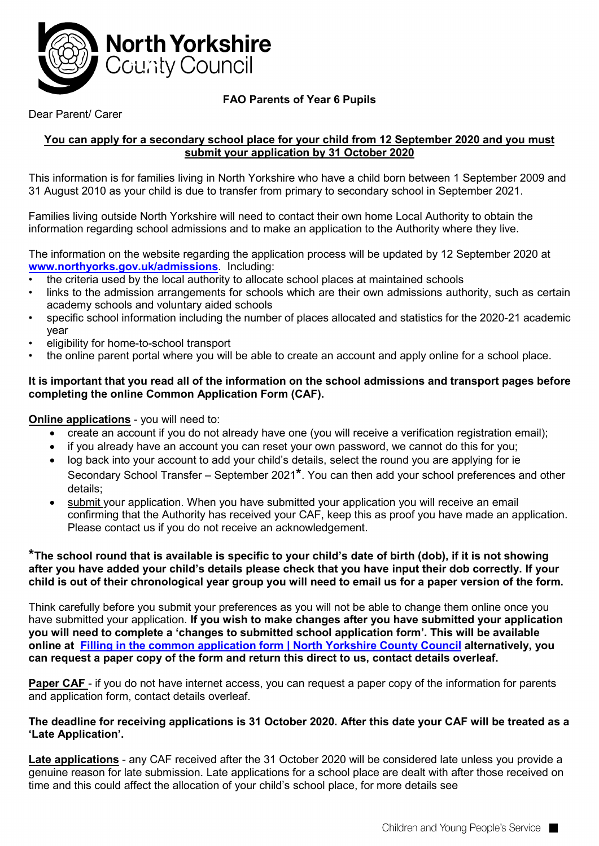

# **FAO Parents of Year 6 Pupils**

## Dear Parent/ Carer

#### **You can apply for a secondary school place for your child from 12 September 2020 and you must submit your application by 31 October 2020**

This information is for families living in North Yorkshire who have a child born between 1 September 2009 and 31 August 2010 as your child is due to transfer from primary to secondary school in September 2021.

Families living outside North Yorkshire will need to contact their own home Local Authority to obtain the information regarding school admissions and to make an application to the Authority where they live.

The information on the website regarding the application process will be updated by 12 September 2020 at **[www.northyorks.gov.uk/admissions](http://www.northyorks.gov.uk/admissions)**. Including:

- the criteria used by the local authority to allocate school places at maintained schools
- links to the admission arrangements for schools which are their own admissions authority, such as certain academy schools and voluntary aided schools
- specific school information including the number of places allocated and statistics for the 2020-21 academic year
- eligibility for home-to-school transport
- the online parent portal where you will be able to create an account and apply online for a school place.

#### **It is important that you read all of the information on the school admissions and transport pages before completing the online Common Application Form (CAF).**

### **Online applications** - you will need to:

- create an account if you do not already have one (you will receive a verification registration email);
- if you already have an account you can reset your own password, we cannot do this for you;
- log back into your account to add your child's details, select the round you are applying for ie Secondary School Transfer – September 2021**\***. You can then add your school preferences and other details;
- submit your application. When you have submitted your application you will receive an email confirming that the Authority has received your CAF, keep this as proof you have made an application. Please contact us if you do not receive an acknowledgement.

#### **\*The school round that is available is specific to your child's date of birth (dob), if it is not showing after you have added your child's details please check that you have input their dob correctly. If your child is out of their chronological year group you will need to email us for a paper version of the form.**

Think carefully before you submit your preferences as you will not be able to change them online once you have submitted your application. **If you wish to make changes after you have submitted your application you will need to complete a 'changes to submitted school application form'. This will be available online at [Filling in the common application form | North Yorkshire County Council](https://www.northyorks.gov.uk/filling-common-application-form) alternatively, you can request a paper copy of the form and return this direct to us, contact details overleaf.**

**Paper CAF** - if you do not have internet access, you can request a paper copy of the information for parents and application form, contact details overleaf.

#### **The deadline for receiving applications is 31 October 2020. After this date your CAF will be treated as a 'Late Application'.**

**Late applications** - any CAF received after the 31 October 2020 will be considered late unless you provide a genuine reason for late submission. Late applications for a school place are dealt with after those received on time and this could affect the allocation of your child's school place, for more details see